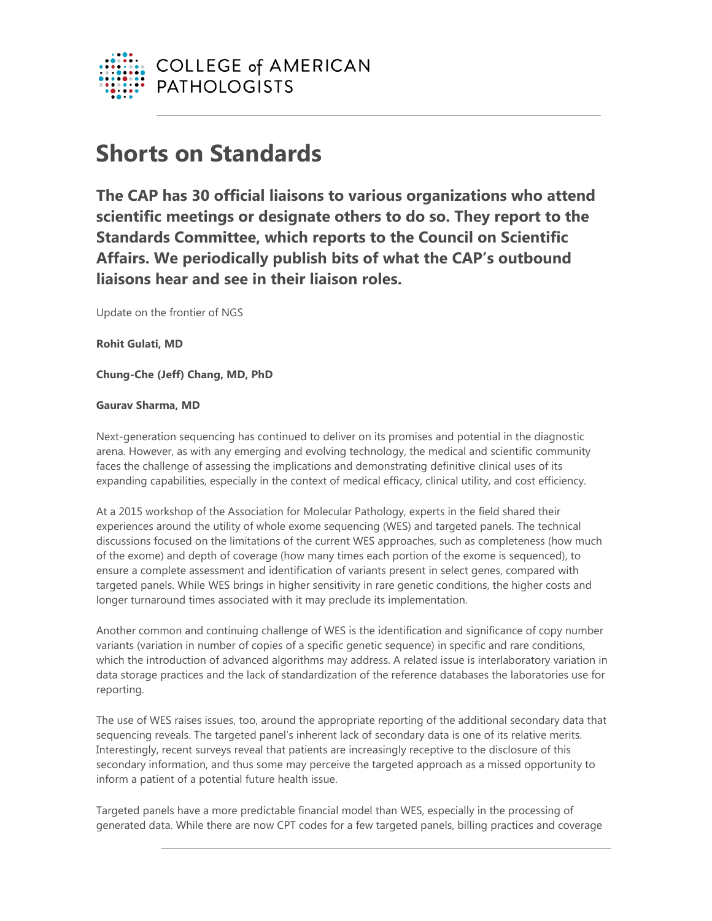

## **Shorts on Standards**

**The CAP has 30 official liaisons to various organizations who attend scientific meetings or designate others to do so. They report to the Standards Committee, which reports to the Council on Scientific Affairs. We periodically publish bits of what the CAP's outbound liaisons hear and see in their liaison roles.** 

Update on the frontier of NGS

**Rohit Gulati, MD**

**Chung-Che (Jeff) Chang, MD, PhD**

## **Gaurav Sharma, MD**

Next-generation sequencing has continued to deliver on its promises and potential in the diagnostic arena. However, as with any emerging and evolving technology, the medical and scientific community faces the challenge of assessing the implications and demonstrating definitive clinical uses of its expanding capabilities, especially in the context of medical efficacy, clinical utility, and cost efficiency.

At a 2015 workshop of the Association for Molecular Pathology, experts in the field shared their experiences around the utility of whole exome sequencing (WES) and targeted panels. The technical discussions focused on the limitations of the current WES approaches, such as completeness (how much of the exome) and depth of coverage (how many times each portion of the exome is sequenced), to ensure a complete assessment and identification of variants present in select genes, compared with targeted panels. While WES brings in higher sensitivity in rare genetic conditions, the higher costs and longer turnaround times associated with it may preclude its implementation.

Another common and continuing challenge of WES is the identification and significance of copy number variants (variation in number of copies of a specific genetic sequence) in specific and rare conditions, which the introduction of advanced algorithms may address. A related issue is interlaboratory variation in data storage practices and the lack of standardization of the reference databases the laboratories use for reporting.

The use of WES raises issues, too, around the appropriate reporting of the additional secondary data that sequencing reveals. The targeted panel's inherent lack of secondary data is one of its relative merits. Interestingly, recent surveys reveal that patients are increasingly receptive to the disclosure of this secondary information, and thus some may perceive the targeted approach as a missed opportunity to inform a patient of a potential future health issue.

Targeted panels have a more predictable financial model than WES, especially in the processing of generated data. While there are now CPT codes for a few targeted panels, billing practices and coverage